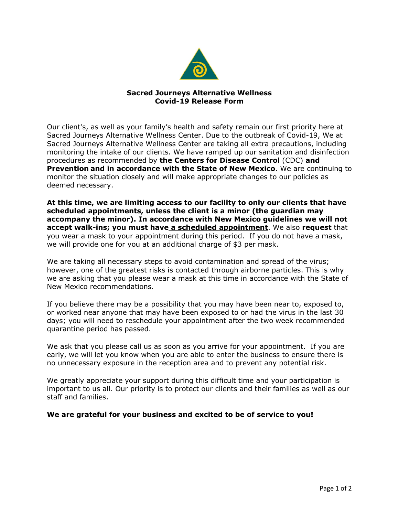

## **Sacred Journeys Alternative Wellness Covid-19 Release Form**

Our client's, as well as your family's health and safety remain our first priority here at Sacred Journeys Alternative Wellness Center. Due to the outbreak of Covid-19, We at Sacred Journeys Alternative Wellness Center are taking all extra precautions, including monitoring the intake of our clients. We have ramped up our sanitation and disinfection procedures as recommended by **the Centers for Disease Control** (CDC) **and Prevention and in accordance with the State of New Mexico**. We are continuing to monitor the situation closely and will make appropriate changes to our policies as deemed necessary.

**At this time, we are limiting access to our facility to only our clients that have scheduled appointments, unless the client is a minor (the guardian may accompany the minor). In accordance with New Mexico guidelines we will not accept walk-ins; you must have a scheduled appointment**. We also **request** that you wear a mask to your appointment during this period. If you do not have a mask, we will provide one for you at an additional charge of \$3 per mask.

We are taking all necessary steps to avoid contamination and spread of the virus; however, one of the greatest risks is contacted through airborne particles. This is why we are asking that you please wear a mask at this time in accordance with the State of New Mexico recommendations.

If you believe there may be a possibility that you may have been near to, exposed to, or worked near anyone that may have been exposed to or had the virus in the last 30 days; you will need to reschedule your appointment after the two week recommended quarantine period has passed.

We ask that you please call us as soon as you arrive for your appointment. If you are early, we will let you know when you are able to enter the business to ensure there is no unnecessary exposure in the reception area and to prevent any potential risk.

We greatly appreciate your support during this difficult time and your participation is important to us all. Our priority is to protect our clients and their families as well as our staff and families.

## **We are grateful for your business and excited to be of service to you!**